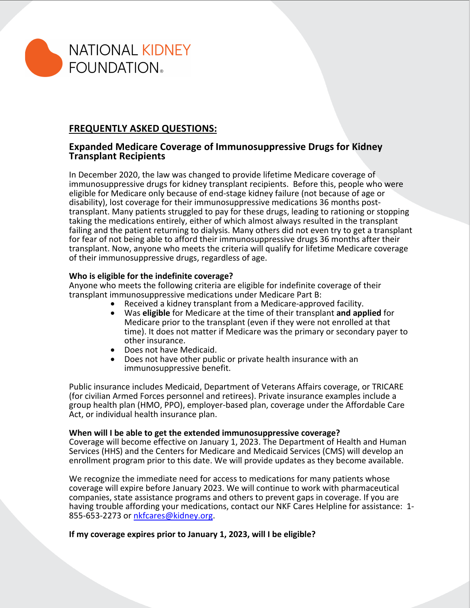

# **FREQUENTLY ASKED QUESTIONS:**

## **Expanded Medicare Coverage of Immunosuppressive Drugs for Kidney Transplant Recipients**

In December 2020, the law was changed to provide lifetime Medicare coverage of immunosuppressive drugs for kidney transplant recipients. Before this, people who were eligible for Medicare only because of end-stage kidney failure (not because of age or<br>disability), lost coverage for their immunosuppressive medications 36 months posttransplant. Many patients struggled to pay for these drugs, leading to rationing or stopping taking the medications entirely, either of which almost always resulted in the transplant failing and the patient returning to dialysis. Many others did not even try to get a transplant for fear of not being able to afford their immunosuppressive drugs 36 months after their transplant. Now, anyone who meets the criteria will qualify for lifetime Medicare coverage of their immunosuppressive drugs, regardless of age.

### **Who is eligible for the indefinite coverage?**

Anyone who meets the following criteria are eligible for indefinite coverage of their<br>transplant immunosuppressive medications under Medicare Part B:

- 
- **•** Received a kidney transplant from a Medicare-approved facility. Received a kidney transplant form a Medicare at the time of their transplant and applied for Medicare prior to the transplant (even if they were not enrolled at that time). It does not matter if Medicare was the primary or secondary payer to other insurance.
- Does not have Medicaid.
- Does not have other public or private health insurance with an immunosuppressive benefit.

Public insurance includes Medicaid, Department of Veterans Affairs coverage, or TRICARE (for civilian Armed Forces personnel and retirees). Private insurance examples include a group health plan (HMO, PPO), employer-based plan, coverage under the Affordable Care Act, or individual health insurance plan.

#### **When will I be able to get the extended immunosuppressive coverage?**

Coverage will become effective on January 1, 2023. The Department of Health and Human Services (HHS) and the Centers for Medicare and Medicaid Services (CMS) will develop an enrollment program prior to this date. We will provide updates as they become available.

We recognize the immediate need for access to medications for many patients whose coverage will expire before January 2023. We will continue to work with pharmaceutical companies, state assistance programs and others to prevent gaps in coverage. If you are having trouble affording your medications, contact our NKF Cares Helpline for assistance: 1-<br>855-653-2273 or nkfcares@kidney.org.

#### **If my coverage expires prior to January 1, 2023, will I be eligible?**